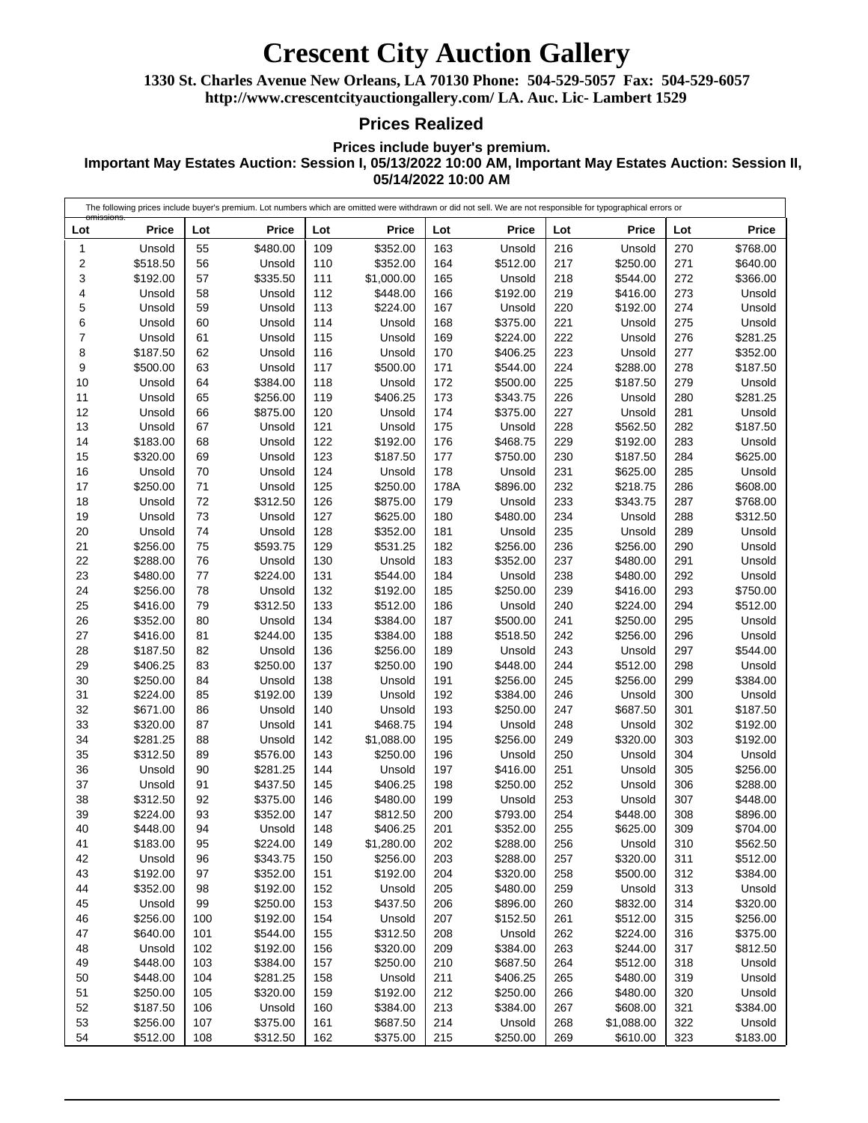### **Crescent City Auction Gallery**

**1330 St. Charles Avenue New Orleans, LA 70130 Phone: 504-529-5057 Fax: 504-529-6057 http://www.crescentcityauctiongallery.com/ LA. Auc. Lic- Lambert 1529**

### **Prices Realized**

**Prices include buyer's premium.**

**Important May Estates Auction: Session I, 05/13/2022 10:00 AM, Important May Estates Auction: Session II, 05/14/2022 10:00 AM**

The following prices include buyer's premium. Lot numbers which are omitted were withdrawn or did not sell. We are not responsible for typographical errors or omissions. **Lot Price** Unsold \$518.50 \$192.00 Unsold Unsold Unsold Unsold \$187.50 \$500.00 Unsold Unsold Unsold Unsold \$183.00 \$320.00 Unsold \$250.00 Unsold Unsold Unsold \$256.00 \$288.00 \$480.00 \$256.00 \$416.00 \$352.00 \$416.00 \$187.50 \$406.25 \$250.00 \$224.00 \$671.00 \$320.00 \$281.25 \$312.50 Unsold Unsold \$312.50 \$224.00 \$448.00 \$183.00 Unsold \$192.00 \$352.00 Unsold \$256.00 \$640.00 Unsold \$448.00 \$448.00 \$250.00 \$187.50 \$256.00 \$512.00 **Lot Price** \$480.00 Unsold \$335.50 Unsold Unsold Unsold Unsold Unsold Unsold \$384.00 \$256.00 \$875.00 Unsold Unsold Unsold Unsold Unsold \$312.50 Unsold Unsold \$593.75 Unsold \$224.00 Unsold \$312.50 Unsold \$244.00 Unsold \$250.00 Unsold \$192.00 Unsold Unsold Unsold \$576.00 \$281.25 \$437.50 \$375.00 \$352.00 Unsold \$224.00 \$343.75 \$352.00 \$192.00 \$250.00 \$192.00 \$544.00 \$192.00 \$384.00 \$281.25 \$320.00 Unsold \$375.00 \$312.50 **Lot Price** \$352.00 \$352.00 \$1,000.00 \$448.00 \$224.00 Unsold Unsold Unsold \$500.00 Unsold \$406.25 Unsold Unsold \$192.00 \$187.50 Unsold \$250.00 \$875.00 \$625.00 \$352.00 \$531.25 Unsold \$544.00 \$192.00 \$512.00 \$384.00 \$384.00 \$256.00 \$250.00 Unsold Unsold Unsold \$468.75 \$1,088.00 \$250.00 Unsold \$406.25 \$480.00 \$812.50 \$406.25 \$1,280.00 \$256.00 \$192.00 Unsold \$437.50 Unsold 155 \$312.50 \$320.00 \$250.00 Unsold \$192.00 \$384.00 \$687.50 \$375.00 **Lot Price** Unsold \$512.00 Unsold \$192.00 Unsold \$375.00 \$224.00 \$406.25 \$544.00 \$500.00 \$343.75 \$375.00 Unsold \$468.75 \$750.00 Unsold 178A \$896.00 Unsold \$480.00 Unsold \$256.00 \$352.00 Unsold \$250.00 Unsold \$500.00 \$518.50 Unsold \$448.00 \$256.00 \$384.00 \$250.00 Unsold \$256.00 Unsold \$416.00 \$250.00 Unsold \$793.00 \$352.00 \$288.00 \$288.00 \$320.00 \$480.00 \$896.00 \$152.50 Unsold \$384.00 \$687.50 \$406.25 \$250.00 \$384.00 Unsold \$250.00 **Lot Price** Unsold \$250.00 \$544.00 \$416.00 \$192.00 Unsold Unsold Unsold \$288.00 \$187.50 Unsold Unsold \$562.50 \$192.00 \$187.50 \$625.00 \$218.75 \$343.75 Unsold Unsold \$256.00 \$480.00 \$480.00 \$416.00 \$224.00 \$250.00 \$256.00 Unsold \$512.00 \$256.00 Unsold \$687.50 Unsold \$320.00 Unsold Unsold Unsold Unsold \$448.00 \$625.00 Unsold \$320.00 \$500.00 Unsold \$832.00 \$512.00 \$224.00 \$244.00 \$512.00 \$480.00 \$480.00 \$608.00 \$1,088.00 \$610.00 **Lot Price** \$768.00 \$640.00 \$366.00 Unsold Unsold Unsold \$281.25 \$352.00 \$187.50 Unsold \$281.25 Unsold \$187.50 Unsold \$625.00 Unsold \$608.00 \$768.00 \$312.50 Unsold Unsold Unsold Unsold \$750.00 \$512.00 Unsold Unsold \$544.00 Unsold \$384.00 Unsold \$187.50 \$192.00 \$192.00 Unsold \$256.00 \$288.00 \$448.00 \$896.00 \$704.00 \$562.50 \$512.00 \$384.00 Unsold \$320.00 \$256.00 \$375.00 \$812.50 Unsold Unsold Unsold \$384.00 Unsold \$183.00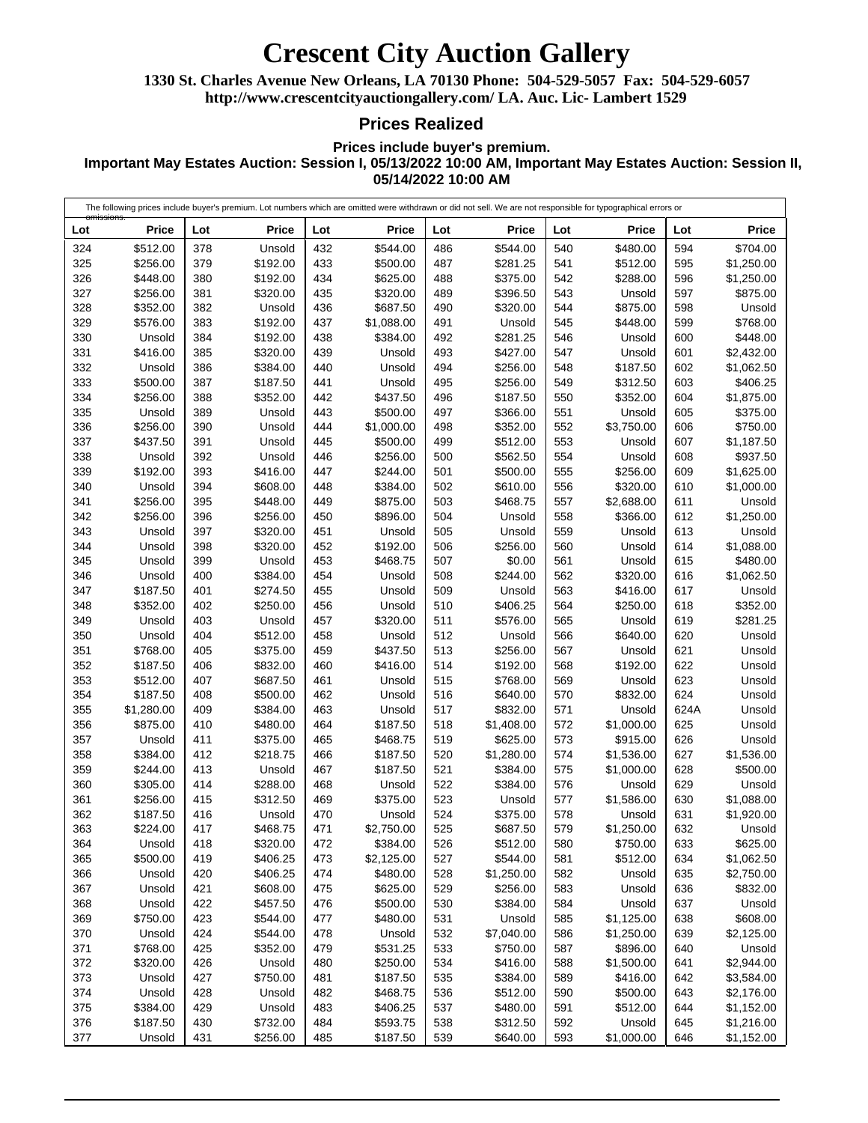# **Crescent City Auction Gallery**

**1330 St. Charles Avenue New Orleans, LA 70130 Phone: 504-529-5057 Fax: 504-529-6057 http://www.crescentcityauctiongallery.com/ LA. Auc. Lic- Lambert 1529**

#### **Prices Realized**

**Prices include buyer's premium.**

**Important May Estates Auction: Session I, 05/13/2022 10:00 AM, Important May Estates Auction: Session II, 05/14/2022 10:00 AM**

| The following prices include buyer's premium. Lot numbers which are omitted were withdrawn or did not sell. We are not responsible for typographical errors or<br><del>omissions.</del> |                      |            |                      |            |                      |            |                    |            |                      |            |                    |
|-----------------------------------------------------------------------------------------------------------------------------------------------------------------------------------------|----------------------|------------|----------------------|------------|----------------------|------------|--------------------|------------|----------------------|------------|--------------------|
| Lot                                                                                                                                                                                     | <b>Price</b>         | Lot        | <b>Price</b>         | Lot        | <b>Price</b>         | Lot        | <b>Price</b>       | Lot        | Price                | Lot        | <b>Price</b>       |
| 324                                                                                                                                                                                     | \$512.00             | 378        | Unsold               | 432        | \$544.00             | 486        | \$544.00           | 540        | \$480.00             | 594        | \$704.00           |
| 325                                                                                                                                                                                     | \$256.00             | 379        | \$192.00             | 433        | \$500.00             | 487        | \$281.25           | 541        | \$512.00             | 595        | \$1,250.00         |
| 326                                                                                                                                                                                     | \$448.00             | 380        | \$192.00             | 434        | \$625.00             | 488        | \$375.00           | 542        | \$288.00             | 596        | \$1,250.00         |
| 327                                                                                                                                                                                     | \$256.00             | 381        | \$320.00             | 435        | \$320.00             | 489        | \$396.50           | 543        | Unsold               | 597        | \$875.00           |
| 328                                                                                                                                                                                     | \$352.00             | 382        | Unsold               | 436        | \$687.50             | 490        | \$320.00           | 544        | \$875.00             | 598        | Unsold             |
| 329                                                                                                                                                                                     | \$576.00             | 383        | \$192.00             | 437        | \$1,088.00           | 491        | Unsold             | 545        | \$448.00             | 599        | \$768.00           |
| 330                                                                                                                                                                                     | Unsold               | 384        | \$192.00             | 438        | \$384.00             | 492        | \$281.25           | 546        | Unsold               | 600        | \$448.00           |
| 331                                                                                                                                                                                     | \$416.00             | 385        | \$320.00             | 439        | Unsold               | 493        | \$427.00           | 547        | Unsold               | 601        | \$2,432.00         |
| 332                                                                                                                                                                                     | Unsold               | 386        | \$384.00             | 440        | Unsold               | 494        | \$256.00           | 548        | \$187.50             | 602        | \$1,062.50         |
| 333                                                                                                                                                                                     | \$500.00             | 387        | \$187.50             | 441        | Unsold               | 495        | \$256.00           | 549        | \$312.50             | 603        | \$406.25           |
| 334                                                                                                                                                                                     | \$256.00             | 388        | \$352.00             | 442        | \$437.50             | 496        | \$187.50           | 550        | \$352.00             | 604        | \$1,875.00         |
| 335                                                                                                                                                                                     | Unsold               | 389        | Unsold               | 443        | \$500.00             | 497        | \$366.00           | 551        | Unsold               | 605        | \$375.00           |
| 336                                                                                                                                                                                     | \$256.00             | 390        | Unsold               | 444        | \$1,000.00           | 498        | \$352.00           | 552        | \$3,750.00           | 606        | \$750.00           |
| 337                                                                                                                                                                                     | \$437.50             | 391        | Unsold               | 445        | \$500.00             | 499        | \$512.00           | 553        | Unsold               | 607        | \$1,187.50         |
| 338                                                                                                                                                                                     | Unsold               | 392        | Unsold               | 446        | \$256.00             | 500        | \$562.50           | 554        | Unsold               | 608        | \$937.50           |
| 339                                                                                                                                                                                     | \$192.00             | 393        | \$416.00             | 447        | \$244.00             | 501        | \$500.00           | 555        | \$256.00             | 609        | \$1,625.00         |
| 340                                                                                                                                                                                     | Unsold               | 394        | \$608.00             | 448        | \$384.00             | 502        | \$610.00           | 556        | \$320.00             | 610        | \$1,000.00         |
| 341                                                                                                                                                                                     | \$256.00             | 395        | \$448.00             | 449        | \$875.00             | 503        | \$468.75           | 557        | \$2,688.00           | 611        | Unsold             |
| 342                                                                                                                                                                                     | \$256.00             | 396        | \$256.00             | 450        | \$896.00             | 504        | Unsold             | 558        | \$366.00             | 612        | \$1,250.00         |
| 343                                                                                                                                                                                     | Unsold               | 397        | \$320.00             | 451        | Unsold               | 505        | Unsold             | 559        | Unsold               | 613        | Unsold             |
| 344                                                                                                                                                                                     | Unsold               | 398        | \$320.00             | 452        | \$192.00<br>\$468.75 | 506        | \$256.00           | 560        | Unsold               | 614        | \$1,088.00         |
| 345                                                                                                                                                                                     | Unsold               | 399        | Unsold               | 453<br>454 |                      | 507        | \$0.00             | 561        | Unsold               | 615        | \$480.00           |
| 346                                                                                                                                                                                     | Unsold               | 400        | \$384.00             |            | Unsold               | 508        | \$244.00           | 562        | \$320.00             | 616        | \$1,062.50         |
| 347<br>348                                                                                                                                                                              | \$187.50<br>\$352.00 | 401<br>402 | \$274.50<br>\$250.00 | 455<br>456 | Unsold               | 509<br>510 | Unsold<br>\$406.25 | 563<br>564 | \$416.00<br>\$250.00 | 617<br>618 | Unsold<br>\$352.00 |
| 349                                                                                                                                                                                     | Unsold               | 403        | Unsold               | 457        | Unsold<br>\$320.00   | 511        | \$576.00           | 565        | Unsold               | 619        | \$281.25           |
| 350                                                                                                                                                                                     | Unsold               | 404        | \$512.00             | 458        | Unsold               | 512        | Unsold             | 566        | \$640.00             | 620        | Unsold             |
| 351                                                                                                                                                                                     | \$768.00             | 405        | \$375.00             | 459        | \$437.50             | 513        | \$256.00           | 567        | Unsold               | 621        | Unsold             |
| 352                                                                                                                                                                                     | \$187.50             | 406        | \$832.00             | 460        | \$416.00             | 514        | \$192.00           | 568        | \$192.00             | 622        | Unsold             |
| 353                                                                                                                                                                                     | \$512.00             | 407        | \$687.50             | 461        | Unsold               | 515        | \$768.00           | 569        | Unsold               | 623        | Unsold             |
| 354                                                                                                                                                                                     | \$187.50             | 408        | \$500.00             | 462        | Unsold               | 516        | \$640.00           | 570        | \$832.00             | 624        | Unsold             |
| 355                                                                                                                                                                                     | \$1,280.00           | 409        | \$384.00             | 463        | Unsold               | 517        | \$832.00           | 571        | Unsold               | 624A       | Unsold             |
| 356                                                                                                                                                                                     | \$875.00             | 410        | \$480.00             | 464        | \$187.50             | 518        | \$1,408.00         | 572        | \$1,000.00           | 625        | Unsold             |
| 357                                                                                                                                                                                     | Unsold               | 411        | \$375.00             | 465        | \$468.75             | 519        | \$625.00           | 573        | \$915.00             | 626        | Unsold             |
| 358                                                                                                                                                                                     | \$384.00             | 412        | \$218.75             | 466        | \$187.50             | 520        | \$1,280.00         | 574        | \$1,536.00           | 627        | \$1,536.00         |
| 359                                                                                                                                                                                     | \$244.00             | 413        | Unsold               | 467        | \$187.50             | 521        | \$384.00           | 575        | \$1,000.00           | 628        | \$500.00           |
| 360                                                                                                                                                                                     | \$305.00             | 414        | \$288.00             | 468        | Unsold               | 522        | \$384.00           | 576        | Unsold               | 629        | Unsold             |
| 361                                                                                                                                                                                     | \$256.00             | 415        | \$312.50             | 469        | \$375.00             | 523        | Unsold             | 577        | \$1,586.00           | 630        | \$1,088.00         |
| 362                                                                                                                                                                                     | \$187.50             | 416        | Unsold               | 470        | Unsold               | 524        | \$375.00           | 578        | Unsold               | 631        | \$1,920.00         |
| 363                                                                                                                                                                                     | \$224.00             | 417        | \$468.75             | 471        | \$2,750.00           | 525        | \$687.50           | 579        | \$1,250.00           | 632        | Unsold             |
| 364                                                                                                                                                                                     | Unsold               | 418        | \$320.00             | 472        | \$384.00             | 526        | \$512.00           | 580        | \$750.00             | 633        | \$625.00           |
| 365                                                                                                                                                                                     | \$500.00             | 419        | \$406.25             | 473        | \$2,125.00           | 527        | \$544.00           | 581        | \$512.00             | 634        | \$1,062.50         |
| 366                                                                                                                                                                                     | Unsold               | 420        | \$406.25             | 474        | \$480.00             | 528        | \$1,250.00         | 582        | Unsold               | 635        | \$2,750.00         |
| 367                                                                                                                                                                                     | Unsold               | 421        | \$608.00             | 475        | \$625.00             | 529        | \$256.00           | 583        | Unsold               | 636        | \$832.00           |
| 368                                                                                                                                                                                     | Unsold               | 422        | \$457.50             | 476        | \$500.00             | 530        | \$384.00           | 584        | Unsold               | 637        | Unsold             |
| 369                                                                                                                                                                                     | \$750.00             | 423        | \$544.00             | 477        | \$480.00             | 531        | Unsold             | 585        | \$1,125.00           | 638        | \$608.00           |
| 370                                                                                                                                                                                     | Unsold               | 424        | \$544.00             | 478        | Unsold               | 532        | \$7,040.00         | 586        | \$1,250.00           | 639        | \$2,125.00         |
| 371                                                                                                                                                                                     | \$768.00             | 425        | \$352.00             | 479        | \$531.25             | 533        | \$750.00           | 587        | \$896.00             | 640        | Unsold             |
| 372                                                                                                                                                                                     | \$320.00             | 426        | Unsold               | 480        | \$250.00             | 534        | \$416.00           | 588        | \$1,500.00           | 641        | \$2,944.00         |
| 373                                                                                                                                                                                     | Unsold               | 427        | \$750.00             | 481        | \$187.50             | 535        | \$384.00           | 589        | \$416.00             | 642        | \$3,584.00         |
| 374                                                                                                                                                                                     | Unsold               | 428        | Unsold               | 482        | \$468.75             | 536        | \$512.00           | 590        | \$500.00             | 643        | \$2,176.00         |
| 375                                                                                                                                                                                     | \$384.00             | 429        | Unsold               | 483        | \$406.25             | 537        | \$480.00           | 591        | \$512.00             | 644        | \$1,152.00         |
| 376                                                                                                                                                                                     | \$187.50             | 430        | \$732.00             | 484        | \$593.75             | 538        | \$312.50           | 592        | Unsold               | 645        | \$1,216.00         |
| 377                                                                                                                                                                                     | Unsold               | 431        | \$256.00             | 485        | \$187.50             | 539        | \$640.00           | 593        | \$1,000.00           | 646        | \$1,152.00         |